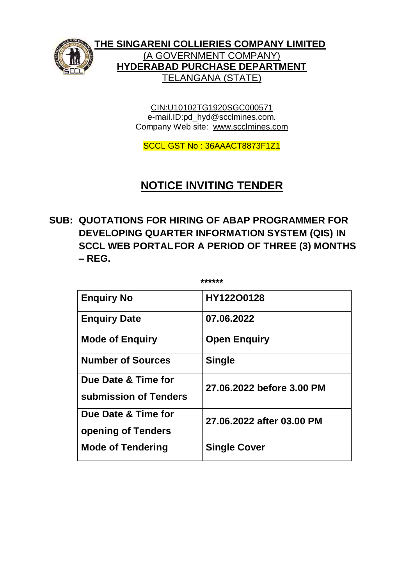

**THE SINGARENI COLLIERIES COMPANY LIMITED** (A GOVERNMENT COMPANY) **HYDERABAD PURCHASE DEPARTMENT** TELANGANA (STATE)

> CIN:U10102TG1920SGC000571 e-mail.ID:pd\_hyd@scclmines.com. Company Web site: [www.scclmines.com](http://www.scclmines.com/)

SCCL GST No : 36AAACT8873F1Z1

# **NOTICE INVITING TENDER**

**SUB: QUOTATIONS FOR HIRING OF ABAP PROGRAMMER FOR DEVELOPING QUARTER INFORMATION SYSTEM (QIS) IN SCCL WEB PORTALFOR A PERIOD OF THREE (3) MONTHS – REG.**

**\*\*\*\*\*\***

| <b>Enguiry No</b>                            | HY122O0128                |  |  |
|----------------------------------------------|---------------------------|--|--|
| <b>Enquiry Date</b>                          | 07.06.2022                |  |  |
| <b>Mode of Enguiry</b>                       | <b>Open Enguiry</b>       |  |  |
| <b>Number of Sources</b>                     | <b>Single</b>             |  |  |
| Due Date & Time for<br>submission of Tenders | 27.06.2022 before 3.00 PM |  |  |
| Due Date & Time for<br>opening of Tenders    | 27.06.2022 after 03.00 PM |  |  |
| <b>Mode of Tendering</b>                     | <b>Single Cover</b>       |  |  |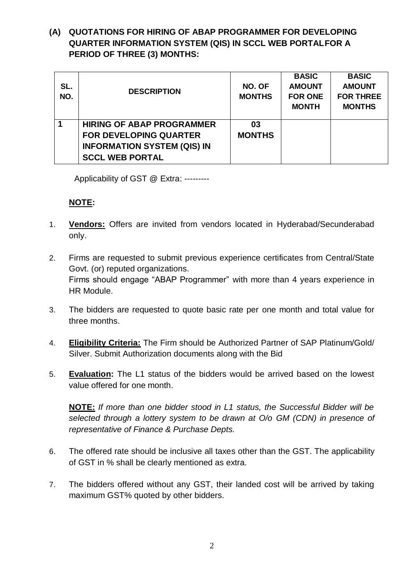# **(A) QUOTATIONS FOR HIRING OF ABAP PROGRAMMER FOR DEVELOPING QUARTER INFORMATION SYSTEM (QIS) IN SCCL WEB PORTALFOR A PERIOD OF THREE (3) MONTHS:**

| SL.<br>NO.              | <b>DESCRIPTION</b>                 | NO. OF<br><b>MONTHS</b> | <b>BASIC</b><br><b>AMOUNT</b><br><b>FOR ONE</b><br><b>MONTH</b> | <b>BASIC</b><br><b>AMOUNT</b><br><b>FOR THREE</b><br><b>MONTHS</b> |
|-------------------------|------------------------------------|-------------------------|-----------------------------------------------------------------|--------------------------------------------------------------------|
| $\overline{\mathbf{1}}$ | <b>HIRING OF ABAP PROGRAMMER</b>   | 03                      |                                                                 |                                                                    |
|                         | <b>FOR DEVELOPING QUARTER</b>      | <b>MONTHS</b>           |                                                                 |                                                                    |
|                         | <b>INFORMATION SYSTEM (QIS) IN</b> |                         |                                                                 |                                                                    |
|                         | <b>SCCL WEB PORTAL</b>             |                         |                                                                 |                                                                    |

Applicability of GST @ Extra: ---------

#### **NOTE:**

- 1. **Vendors:** Offers are invited from vendors located in Hyderabad/Secunderabad only.
- 2. Firms are requested to submit previous experience certificates from Central/State Govt. (or) reputed organizations. Firms should engage "ABAP Programmer" with more than 4 years experience in HR Module.
- 3. The bidders are requested to quote basic rate per one month and total value for three months.
- 4. **Eligibility Criteria:** The Firm should be Authorized Partner of SAP Platinum/Gold/ Silver. Submit Authorization documents along with the Bid
- 5. **Evaluation:** The L1 status of the bidders would be arrived based on the lowest value offered for one month.

**NOTE:** *If more than one bidder stood in L1 status, the Successful Bidder will be selected through a lottery system to be drawn at O/o GM (CDN) in presence of representative of Finance & Purchase Depts.*

- 6. The offered rate should be inclusive all taxes other than the GST. The applicability of GST in % shall be clearly mentioned as extra.
- 7. The bidders offered without any GST, their landed cost will be arrived by taking maximum GST% quoted by other bidders.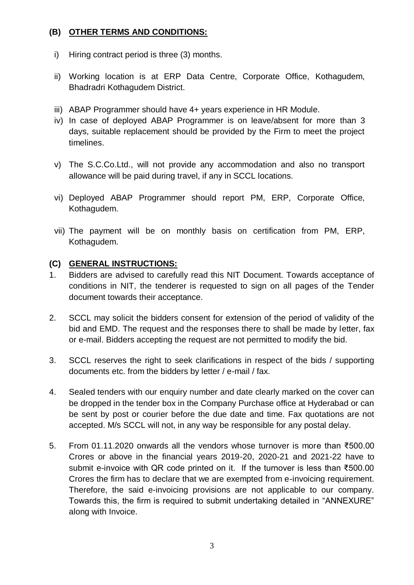# **(B) OTHER TERMS AND CONDITIONS:**

- i) Hiring contract period is three (3) months.
- ii) Working location is at ERP Data Centre, Corporate Office, Kothagudem, Bhadradri Kothagudem District.
- iii) ABAP Programmer should have 4+ years experience in HR Module.
- iv) In case of deployed ABAP Programmer is on leave/absent for more than 3 days, suitable replacement should be provided by the Firm to meet the project timelines.
- v) The S.C.Co.Ltd., will not provide any accommodation and also no transport allowance will be paid during travel, if any in SCCL locations.
- vi) Deployed ABAP Programmer should report PM, ERP, Corporate Office, Kothagudem.
- vii) The payment will be on monthly basis on certification from PM, ERP, Kothagudem.

#### **(C) GENERAL INSTRUCTIONS:**

- 1. Bidders are advised to carefully read this NIT Document. Towards acceptance of conditions in NIT, the tenderer is requested to sign on all pages of the Tender document towards their acceptance.
- 2. SCCL may solicit the bidders consent for extension of the period of validity of the bid and EMD. The request and the responses there to shall be made by letter, fax or e-mail. Bidders accepting the request are not permitted to modify the bid.
- 3. SCCL reserves the right to seek clarifications in respect of the bids / supporting documents etc. from the bidders by letter / e-mail / fax.
- 4. Sealed tenders with our enquiry number and date clearly marked on the cover can be dropped in the tender box in the Company Purchase office at Hyderabad or can be sent by post or courier before the due date and time. Fax quotations are not accepted. M/s SCCL will not, in any way be responsible for any postal delay.
- 5. From 01.11.2020 onwards all the vendors whose turnover is more than ₹500.00 Crores or above in the financial years 2019-20, 2020-21 and 2021-22 have to submit e-invoice with QR code printed on it. If the turnover is less than ₹500.00 Crores the firm has to declare that we are exempted from e-invoicing requirement. Therefore, the said e-invoicing provisions are not applicable to our company. Towards this, the firm is required to submit undertaking detailed in "ANNEXURE" along with Invoice.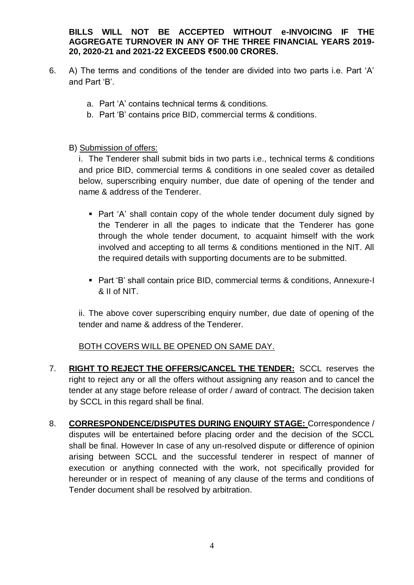**BILLS WILL NOT BE ACCEPTED WITHOUT e-INVOICING IF THE AGGREGATE TURNOVER IN ANY OF THE THREE FINANCIAL YEARS 2019- 20, 2020-21 and 2021-22 EXCEEDS ₹500.00 CRORES.** 

- 6. A) The terms and conditions of the tender are divided into two parts i.e. Part 'A' and Part 'B'.
	- a. Part 'A' contains technical terms & conditions.
	- b. Part 'B' contains price BID, commercial terms & conditions.

#### B) Submission of offers:

i. The Tenderer shall submit bids in two parts i.e., technical terms & conditions and price BID, commercial terms & conditions in one sealed cover as detailed below, superscribing enquiry number, due date of opening of the tender and name & address of the Tenderer.

- Part 'A' shall contain copy of the whole tender document duly signed by the Tenderer in all the pages to indicate that the Tenderer has gone through the whole tender document, to acquaint himself with the work involved and accepting to all terms & conditions mentioned in the NIT. All the required details with supporting documents are to be submitted.
- Part 'B' shall contain price BID, commercial terms & conditions, Annexure-I & II of NIT.

ii. The above cover superscribing enquiry number, due date of opening of the tender and name & address of the Tenderer.

# BOTH COVERS WILL BE OPENED ON SAME DAY.

- 7. **RIGHT TO REJECT THE OFFERS/CANCEL THE TENDER:** SCCL reserves the right to reject any or all the offers without assigning any reason and to cancel the tender at any stage before release of order / award of contract. The decision taken by SCCL in this regard shall be final.
- 8. **CORRESPONDENCE/DISPUTES DURING ENQUIRY STAGE:** Correspondence / disputes will be entertained before placing order and the decision of the SCCL shall be final. However In case of any un-resolved dispute or difference of opinion arising between SCCL and the successful tenderer in respect of manner of execution or anything connected with the work, not specifically provided for hereunder or in respect of meaning of any clause of the terms and conditions of Tender document shall be resolved by arbitration.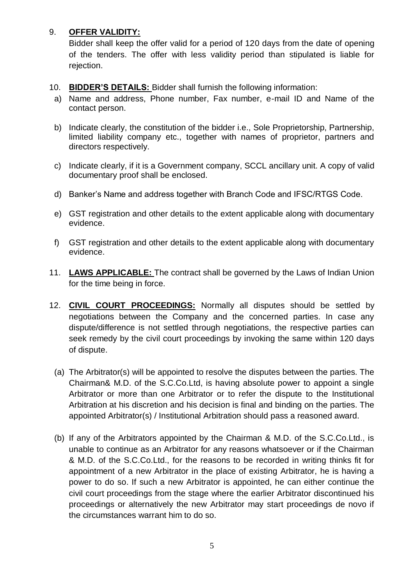# 9. **OFFER VALIDITY:**

Bidder shall keep the offer valid for a period of 120 days from the date of opening of the tenders. The offer with less validity period than stipulated is liable for rejection.

- 10. **BIDDER'S DETAILS:** Bidder shall furnish the following information:
- a) Name and address, Phone number, Fax number, e-mail ID and Name of the contact person.
- b) Indicate clearly, the constitution of the bidder i.e., Sole Proprietorship, Partnership, limited liability company etc., together with names of proprietor, partners and directors respectively.
- c) Indicate clearly, if it is a Government company, SCCL ancillary unit. A copy of valid documentary proof shall be enclosed.
- d) Banker's Name and address together with Branch Code and IFSC/RTGS Code.
- e) GST registration and other details to the extent applicable along with documentary evidence.
- f) GST registration and other details to the extent applicable along with documentary evidence.
- 11. **LAWS APPLICABLE:** The contract shall be governed by the Laws of Indian Union for the time being in force.
- 12. **CIVIL COURT PROCEEDINGS:** Normally all disputes should be settled by negotiations between the Company and the concerned parties. In case any dispute/difference is not settled through negotiations, the respective parties can seek remedy by the civil court proceedings by invoking the same within 120 days of dispute.
	- (a) The Arbitrator(s) will be appointed to resolve the disputes between the parties. The Chairman& M.D. of the S.C.Co.Ltd, is having absolute power to appoint a single Arbitrator or more than one Arbitrator or to refer the dispute to the Institutional Arbitration at his discretion and his decision is final and binding on the parties. The appointed Arbitrator(s) / Institutional Arbitration should pass a reasoned award.
	- (b) If any of the Arbitrators appointed by the Chairman & M.D. of the S.C.Co.Ltd., is unable to continue as an Arbitrator for any reasons whatsoever or if the Chairman & M.D. of the S.C.Co.Ltd., for the reasons to be recorded in writing thinks fit for appointment of a new Arbitrator in the place of existing Arbitrator, he is having a power to do so. If such a new Arbitrator is appointed, he can either continue the civil court proceedings from the stage where the earlier Arbitrator discontinued his proceedings or alternatively the new Arbitrator may start proceedings de novo if the circumstances warrant him to do so.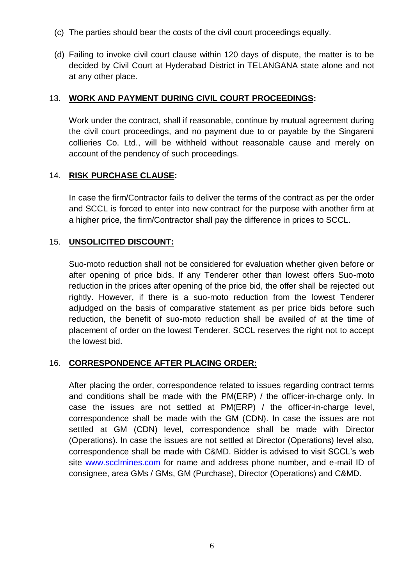- (c) The parties should bear the costs of the civil court proceedings equally.
- (d) Failing to invoke civil court clause within 120 days of dispute, the matter is to be decided by Civil Court at Hyderabad District in TELANGANA state alone and not at any other place.

## 13. **WORK AND PAYMENT DURING CIVIL COURT PROCEEDINGS:**

Work under the contract, shall if reasonable, continue by mutual agreement during the civil court proceedings, and no payment due to or payable by the Singareni collieries Co. Ltd., will be withheld without reasonable cause and merely on account of the pendency of such proceedings.

# 14. **RISK PURCHASE CLAUSE:**

In case the firm/Contractor fails to deliver the terms of the contract as per the order and SCCL is forced to enter into new contract for the purpose with another firm at a higher price, the firm/Contractor shall pay the difference in prices to SCCL.

#### 15. **UNSOLICITED DISCOUNT:**

Suo-moto reduction shall not be considered for evaluation whether given before or after opening of price bids. If any Tenderer other than lowest offers Suo-moto reduction in the prices after opening of the price bid, the offer shall be rejected out rightly. However, if there is a suo-moto reduction from the lowest Tenderer adjudged on the basis of comparative statement as per price bids before such reduction, the benefit of suo-moto reduction shall be availed of at the time of placement of order on the lowest Tenderer. SCCL reserves the right not to accept the lowest bid.

# 16. **CORRESPONDENCE AFTER PLACING ORDER:**

After placing the order, correspondence related to issues regarding contract terms and conditions shall be made with the PM(ERP) / the officer-in-charge only. In case the issues are not settled at PM(ERP) / the officer-in-charge level, correspondence shall be made with the GM (CDN). In case the issues are not settled at GM (CDN) level, correspondence shall be made with Director (Operations). In case the issues are not settled at Director (Operations) level also, correspondence shall be made with C&MD. Bidder is advised to visit SCCL's web site www.scclmines.com for name and address phone number, and e-mail ID of consignee, area GMs / GMs, GM (Purchase), Director (Operations) and C&MD.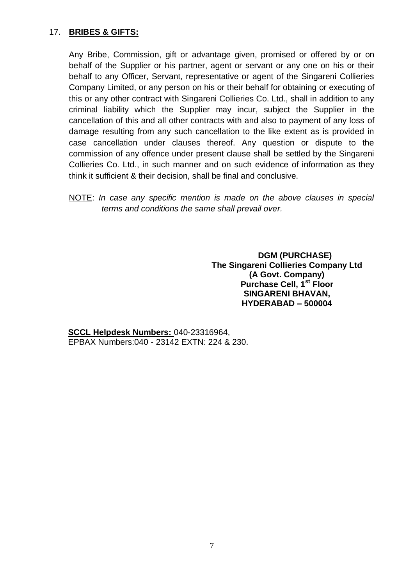# 17. **BRIBES & GIFTS:**

Any Bribe, Commission, gift or advantage given, promised or offered by or on behalf of the Supplier or his partner, agent or servant or any one on his or their behalf to any Officer, Servant, representative or agent of the Singareni Collieries Company Limited, or any person on his or their behalf for obtaining or executing of this or any other contract with Singareni Collieries Co. Ltd., shall in addition to any criminal liability which the Supplier may incur, subject the Supplier in the cancellation of this and all other contracts with and also to payment of any loss of damage resulting from any such cancellation to the like extent as is provided in case cancellation under clauses thereof. Any question or dispute to the commission of any offence under present clause shall be settled by the Singareni Collieries Co. Ltd., in such manner and on such evidence of information as they think it sufficient & their decision, shall be final and conclusive.

NOTE: *In case any specific mention is made on the above clauses in special terms and conditions the same shall prevail over.* 

> **DGM (PURCHASE) The Singareni Collieries Company Ltd (A Govt. Company) Purchase Cell, 1st Floor SINGARENI BHAVAN, HYDERABAD – 500004**

**SCCL Helpdesk Numbers:** 040-23316964, EPBAX Numbers:040 - 23142 EXTN: 224 & 230.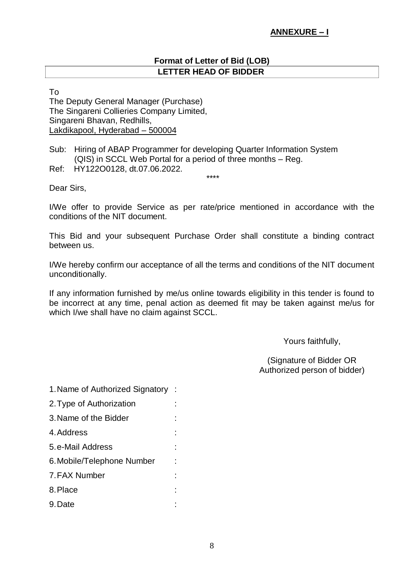## **ANNEXURE – I**

#### **Format of Letter of Bid (LOB) LETTER HEAD OF BIDDER**

To

The Deputy General Manager (Purchase) The Singareni Collieries Company Limited, Singareni Bhavan, Redhills, Lakdikapool, Hyderabad – 500004

Sub: Hiring of ABAP Programmer for developing Quarter Information System (QIS) in SCCL Web Portal for a period of three months – Reg.

Ref: HY122O0128, dt.07.06.2022.

Dear Sirs,

I/We offer to provide Service as per rate/price mentioned in accordance with the conditions of the NIT document.

\*\*\*\*

This Bid and your subsequent Purchase Order shall constitute a binding contract between us.

I/We hereby confirm our acceptance of all the terms and conditions of the NIT document unconditionally.

If any information furnished by me/us online towards eligibility in this tender is found to be incorrect at any time, penal action as deemed fit may be taken against me/us for which I/we shall have no claim against SCCL.

Yours faithfully,

(Signature of Bidder OR Authorized person of bidder)

1.Name of Authorized Signatory : 2.Type of Authorization : 3.Name of the Bidder : 4.Address : 5.e-Mail Address : 6.Mobile/Telephone Number : 7.FAX Number : 8.Place : 9.Date :